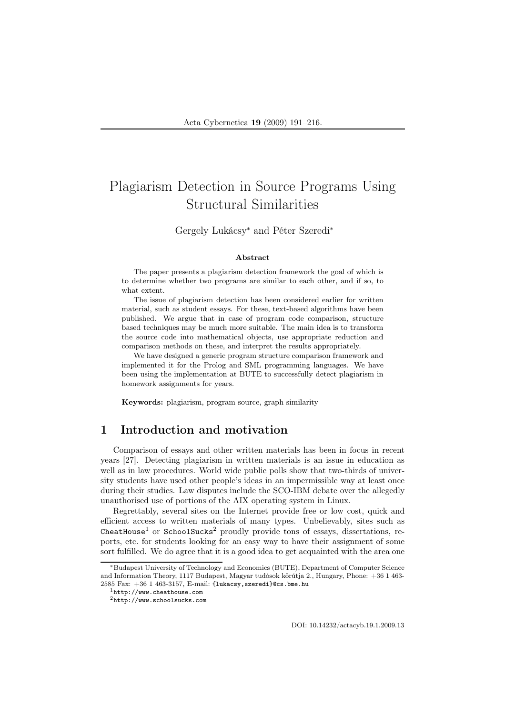# Plagiarism Detection in Source Programs Using Structural Similarities

### Gergely Lukácsy<sup>∗</sup> and Péter Szeredi<sup>∗</sup>

#### Abstract

The paper presents a plagiarism detection framework the goal of which is to determine whether two programs are similar to each other, and if so, to what extent.

The issue of plagiarism detection has been considered earlier for written material, such as student essays. For these, text-based algorithms have been published. We argue that in case of program code comparison, structure based techniques may be much more suitable. The main idea is to transform the source code into mathematical objects, use appropriate reduction and comparison methods on these, and interpret the results appropriately.

We have designed a generic program structure comparison framework and implemented it for the Prolog and SML programming languages. We have been using the implementation at BUTE to successfully detect plagiarism in homework assignments for years.

Keywords: plagiarism, program source, graph similarity

# 1 Introduction and motivation

Comparison of essays and other written materials has been in focus in recent years [27]. Detecting plagiarism in written materials is an issue in education as well as in law procedures. World wide public polls show that two-thirds of university students have used other people's ideas in an impermissible way at least once during their studies. Law disputes include the SCO-IBM debate over the allegedly unauthorised use of portions of the AIX operating system in Linux.

Regrettably, several sites on the Internet provide free or low cost, quick and efficient access to written materials of many types. Unbelievably, sites such as  $\text{Check}^1$  or  $\text{Stoolsucks}^2$  proudly provide tons of essays, dissertations, reports, etc. for students looking for an easy way to have their assignment of some sort fulfilled. We do agree that it is a good idea to get acquainted with the area one

<sup>∗</sup>Budapest University of Technology and Economics (BUTE), Department of Computer Science and Information Theory, 1117 Budapest, Magyar tudósok körútja 2., Hungary, Phone: +36 1 463- 2585 Fax: +36 1 463-3157, E-mail: {lukacsy,szeredi}@cs.bme.hu

<sup>1</sup>http://www.cheathouse.com

<sup>2</sup>http://www.schoolsucks.com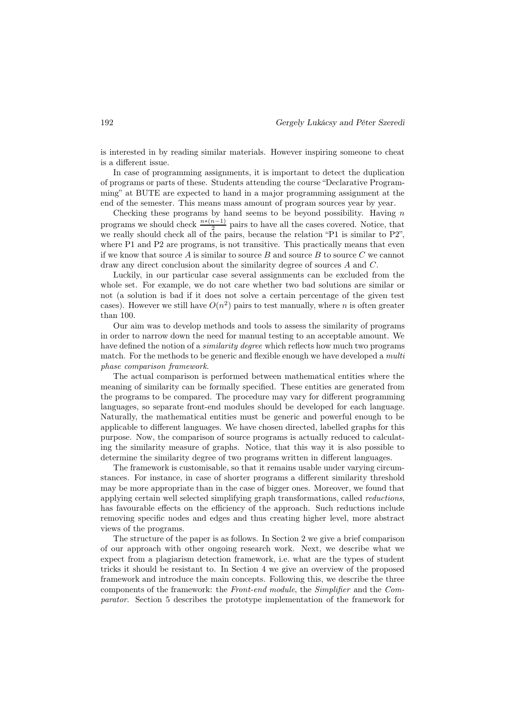is interested in by reading similar materials. However inspiring someone to cheat is a different issue.

In case of programming assignments, it is important to detect the duplication of programs or parts of these. Students attending the course "Declarative Programming" at BUTE are expected to hand in a major programming assignment at the end of the semester. This means mass amount of program sources year by year.

Checking these programs by hand seems to be beyond possibility. Having  $n$ programs we should check  $\frac{n*(n-1)}{2}$  pairs to have all the cases covered. Notice, that we really should check all of the pairs, because the relation "P1 is similar to P2", where P1 and P2 are programs, is not transitive. This practically means that even if we know that source  $A$  is similar to source  $B$  and source  $B$  to source  $C$  we cannot draw any direct conclusion about the similarity degree of sources A and C.

Luckily, in our particular case several assignments can be excluded from the whole set. For example, we do not care whether two bad solutions are similar or not (a solution is bad if it does not solve a certain percentage of the given test cases). However we still have  $O(n^2)$  pairs to test manually, where n is often greater than 100.

Our aim was to develop methods and tools to assess the similarity of programs in order to narrow down the need for manual testing to an acceptable amount. We have defined the notion of a *similarity degree* which reflects how much two programs match. For the methods to be generic and flexible enough we have developed a *multi phase comparison framework*.

The actual comparison is performed between mathematical entities where the meaning of similarity can be formally specified. These entities are generated from the programs to be compared. The procedure may vary for different programming languages, so separate front-end modules should be developed for each language. Naturally, the mathematical entities must be generic and powerful enough to be applicable to different languages. We have chosen directed, labelled graphs for this purpose. Now, the comparison of source programs is actually reduced to calculating the similarity measure of graphs. Notice, that this way it is also possible to determine the similarity degree of two programs written in different languages.

The framework is customisable, so that it remains usable under varying circumstances. For instance, in case of shorter programs a different similarity threshold may be more appropriate than in the case of bigger ones. Moreover, we found that applying certain well selected simplifying graph transformations, called *reductions*, has favourable effects on the efficiency of the approach. Such reductions include removing specific nodes and edges and thus creating higher level, more abstract views of the programs.

The structure of the paper is as follows. In Section 2 we give a brief comparison of our approach with other ongoing research work. Next, we describe what we expect from a plagiarism detection framework, i.e. what are the types of student tricks it should be resistant to. In Section 4 we give an overview of the proposed framework and introduce the main concepts. Following this, we describe the three components of the framework: the *Front-end module*, the *Simplifier* and the *Comparator*. Section 5 describes the prototype implementation of the framework for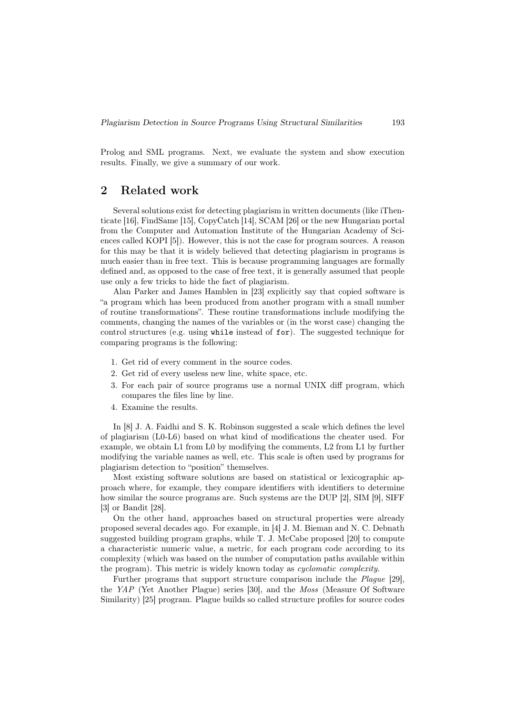Prolog and SML programs. Next, we evaluate the system and show execution results. Finally, we give a summary of our work.

# 2 Related work

Several solutions exist for detecting plagiarism in written documents (like iThenticate [16], FindSame [15], CopyCatch [14], SCAM [26] or the new Hungarian portal from the Computer and Automation Institute of the Hungarian Academy of Sciences called KOPI [5]). However, this is not the case for program sources. A reason for this may be that it is widely believed that detecting plagiarism in programs is much easier than in free text. This is because programming languages are formally defined and, as opposed to the case of free text, it is generally assumed that people use only a few tricks to hide the fact of plagiarism.

Alan Parker and James Hamblen in [23] explicitly say that copied software is "a program which has been produced from another program with a small number of routine transformations". These routine transformations include modifying the comments, changing the names of the variables or (in the worst case) changing the control structures (e.g. using while instead of for). The suggested technique for comparing programs is the following:

- 1. Get rid of every comment in the source codes.
- 2. Get rid of every useless new line, white space, etc.
- 3. For each pair of source programs use a normal UNIX diff program, which compares the files line by line.
- 4. Examine the results.

In [8] J. A. Faidhi and S. K. Robinson suggested a scale which defines the level of plagiarism (L0-L6) based on what kind of modifications the cheater used. For example, we obtain L1 from L0 by modifying the comments, L2 from L1 by further modifying the variable names as well, etc. This scale is often used by programs for plagiarism detection to "position" themselves.

Most existing software solutions are based on statistical or lexicographic approach where, for example, they compare identifiers with identifiers to determine how similar the source programs are. Such systems are the DUP [2], SIM [9], SIFF [3] or Bandit [28].

On the other hand, approaches based on structural properties were already proposed several decades ago. For example, in [4] J. M. Bieman and N. C. Debnath suggested building program graphs, while T. J. McCabe proposed [20] to compute a characteristic numeric value, a metric, for each program code according to its complexity (which was based on the number of computation paths available within the program). This metric is widely known today as *cyclomatic complexity*.

Further programs that support structure comparison include the *Plague* [29], the *YAP* (Yet Another Plague) series [30], and the *Moss* (Measure Of Software Similarity) [25] program. Plague builds so called structure profiles for source codes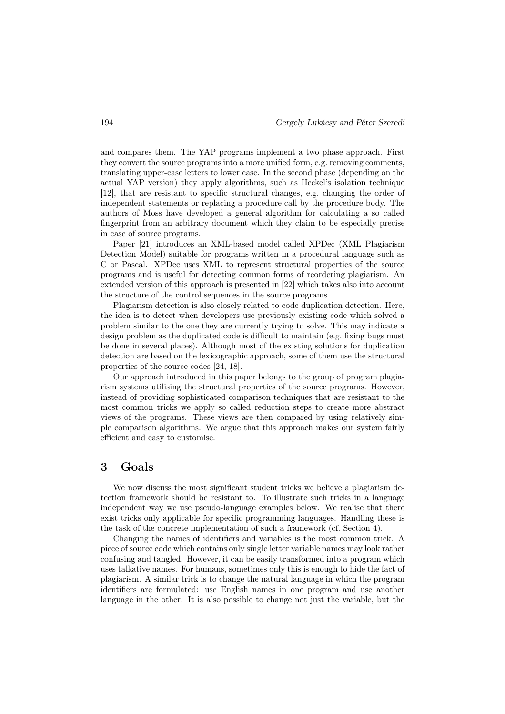and compares them. The YAP programs implement a two phase approach. First they convert the source programs into a more unified form, e.g. removing comments, translating upper-case letters to lower case. In the second phase (depending on the actual YAP version) they apply algorithms, such as Heckel's isolation technique [12], that are resistant to specific structural changes, e.g. changing the order of independent statements or replacing a procedure call by the procedure body. The authors of Moss have developed a general algorithm for calculating a so called fingerprint from an arbitrary document which they claim to be especially precise in case of source programs.

Paper [21] introduces an XML-based model called XPDec (XML Plagiarism Detection Model) suitable for programs written in a procedural language such as C or Pascal. XPDec uses XML to represent structural properties of the source programs and is useful for detecting common forms of reordering plagiarism. An extended version of this approach is presented in [22] which takes also into account the structure of the control sequences in the source programs.

Plagiarism detection is also closely related to code duplication detection. Here, the idea is to detect when developers use previously existing code which solved a problem similar to the one they are currently trying to solve. This may indicate a design problem as the duplicated code is difficult to maintain (e.g. fixing bugs must be done in several places). Although most of the existing solutions for duplication detection are based on the lexicographic approach, some of them use the structural properties of the source codes [24, 18].

Our approach introduced in this paper belongs to the group of program plagiarism systems utilising the structural properties of the source programs. However, instead of providing sophisticated comparison techniques that are resistant to the most common tricks we apply so called reduction steps to create more abstract views of the programs. These views are then compared by using relatively simple comparison algorithms. We argue that this approach makes our system fairly efficient and easy to customise.

### 3 Goals

We now discuss the most significant student tricks we believe a plagiarism detection framework should be resistant to. To illustrate such tricks in a language independent way we use pseudo-language examples below. We realise that there exist tricks only applicable for specific programming languages. Handling these is the task of the concrete implementation of such a framework (cf. Section 4).

Changing the names of identifiers and variables is the most common trick. A piece of source code which contains only single letter variable names may look rather confusing and tangled. However, it can be easily transformed into a program which uses talkative names. For humans, sometimes only this is enough to hide the fact of plagiarism. A similar trick is to change the natural language in which the program identifiers are formulated: use English names in one program and use another language in the other. It is also possible to change not just the variable, but the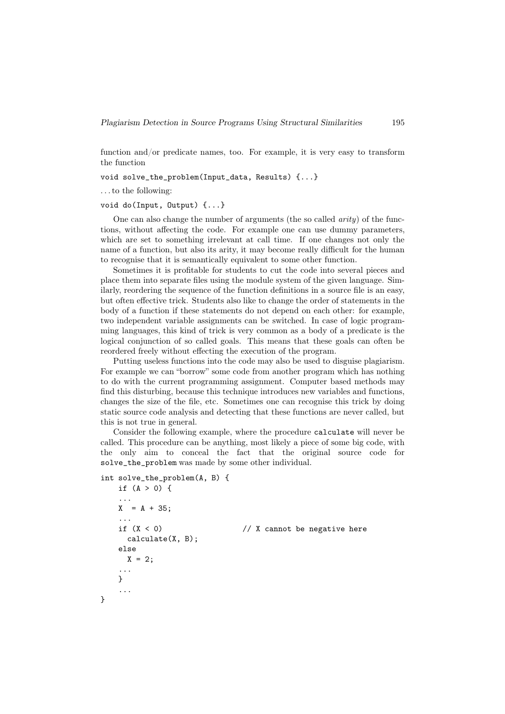function and/or predicate names, too. For example, it is very easy to transform the function

void solve\_the\_problem(Input\_data, Results) {...}

. . . to the following:

void do(Input, Output) {...}

One can also change the number of arguments (the so called *arity*) of the functions, without affecting the code. For example one can use dummy parameters, which are set to something irrelevant at call time. If one changes not only the name of a function, but also its arity, it may become really difficult for the human to recognise that it is semantically equivalent to some other function.

Sometimes it is profitable for students to cut the code into several pieces and place them into separate files using the module system of the given language. Similarly, reordering the sequence of the function definitions in a source file is an easy, but often effective trick. Students also like to change the order of statements in the body of a function if these statements do not depend on each other: for example, two independent variable assignments can be switched. In case of logic programming languages, this kind of trick is very common as a body of a predicate is the logical conjunction of so called goals. This means that these goals can often be reordered freely without effecting the execution of the program.

Putting useless functions into the code may also be used to disguise plagiarism. For example we can "borrow" some code from another program which has nothing to do with the current programming assignment. Computer based methods may find this disturbing, because this technique introduces new variables and functions, changes the size of the file, etc. Sometimes one can recognise this trick by doing static source code analysis and detecting that these functions are never called, but this is not true in general.

Consider the following example, where the procedure calculate will never be called. This procedure can be anything, most likely a piece of some big code, with the only aim to conceal the fact that the original source code for solve\_the\_problem was made by some other individual.

```
int solve_the_problem(A, B) {
   if (A > 0) {
   ...
   X = A + 35;...
   if (X < 0) // X cannot be negative here
     calculate(X, B);
   else
     X = 2;...
   }
    ...
}
```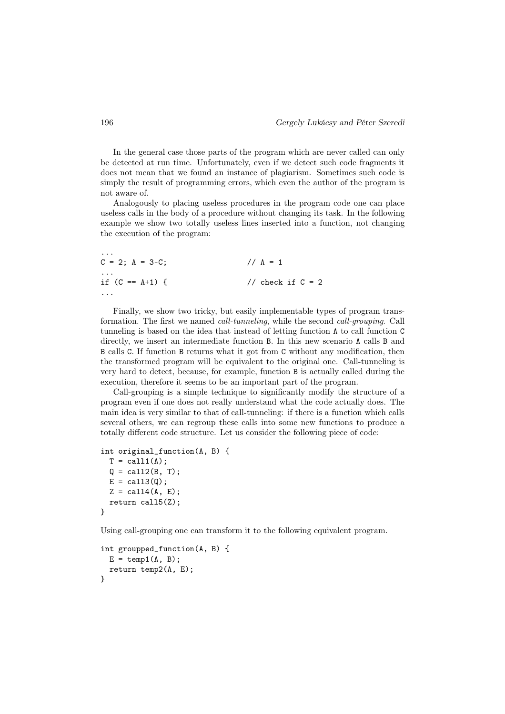In the general case those parts of the program which are never called can only be detected at run time. Unfortunately, even if we detect such code fragments it does not mean that we found an instance of plagiarism. Sometimes such code is simply the result of programming errors, which even the author of the program is not aware of.

Analogously to placing useless procedures in the program code one can place useless calls in the body of a procedure without changing its task. In the following example we show two totally useless lines inserted into a function, not changing the execution of the program:

...  $C = 2$ ;  $A = 3-C$ ; //  $A = 1$ ... if  $(C == A+1)$  { // check if  $C = 2$ ...

Finally, we show two tricky, but easily implementable types of program transformation. The first we named *call-tunneling*, while the second *call-grouping*. Call tunneling is based on the idea that instead of letting function A to call function C directly, we insert an intermediate function B. In this new scenario A calls B and B calls C. If function B returns what it got from C without any modification, then the transformed program will be equivalent to the original one. Call-tunneling is very hard to detect, because, for example, function B is actually called during the execution, therefore it seems to be an important part of the program.

Call-grouping is a simple technique to significantly modify the structure of a program even if one does not really understand what the code actually does. The main idea is very similar to that of call-tunneling: if there is a function which calls several others, we can regroup these calls into some new functions to produce a totally different code structure. Let us consider the following piece of code:

```
int original_function(A, B) {
  T = \text{call}(A);Q = \text{call2}(B, T);E = cal13(Q);Z = \text{call4(A, E)};return call5(Z);
}
```
Using call-grouping one can transform it to the following equivalent program.

```
int groupped_function(A, B) {
  E = temp1(A, B);return temp2(A, E);
}
```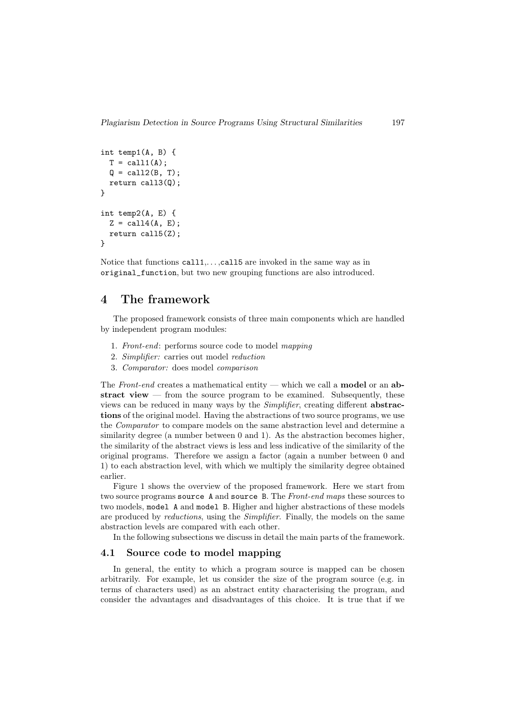```
int temp1(A, B) {
  T = \text{call}(A);Q = \text{call2}(B, T);return call3(Q);
}
int temp2(A, E) {
  Z = \text{call4(A, E)};return call5(Z);
}
```
Notice that functions call1,. . . ,call5 are invoked in the same way as in original\_function, but two new grouping functions are also introduced.

# 4 The framework

The proposed framework consists of three main components which are handled by independent program modules:

- 1. *Front-end*: performs source code to model *mapping*
- 2. *Simplifier:* carries out model *reduction*
- 3. *Comparator:* does model *comparison*

The *Front-end* creates a mathematical entity — which we call a model or an abstract view  $-$  from the source program to be examined. Subsequently, these views can be reduced in many ways by the *Simplifier*, creating different abstractions of the original model. Having the abstractions of two source programs, we use the *Comparator* to compare models on the same abstraction level and determine a similarity degree (a number between 0 and 1). As the abstraction becomes higher, the similarity of the abstract views is less and less indicative of the similarity of the original programs. Therefore we assign a factor (again a number between 0 and 1) to each abstraction level, with which we multiply the similarity degree obtained earlier.

Figure 1 shows the overview of the proposed framework. Here we start from two source programs source A and source B. The *Front-end maps* these sources to two models, model A and model B. Higher and higher abstractions of these models are produced by *reductions*, using the *Simplifier*. Finally, the models on the same abstraction levels are compared with each other.

In the following subsections we discuss in detail the main parts of the framework.

### 4.1 Source code to model mapping

In general, the entity to which a program source is mapped can be chosen arbitrarily. For example, let us consider the size of the program source (e.g. in terms of characters used) as an abstract entity characterising the program, and consider the advantages and disadvantages of this choice. It is true that if we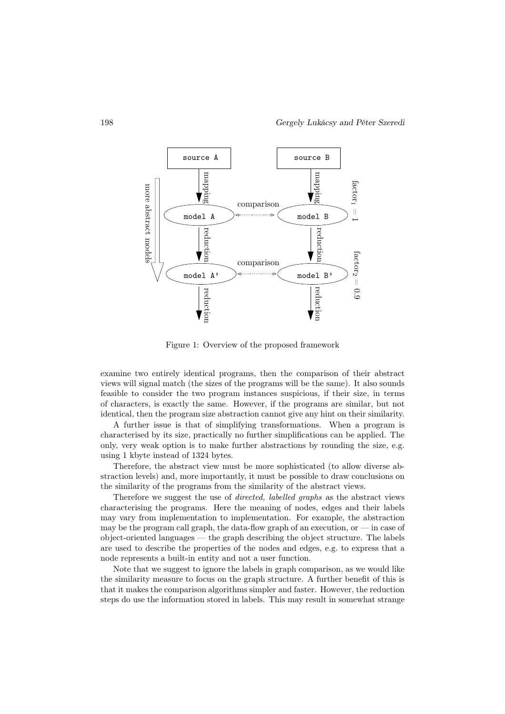

Figure 1: Overview of the proposed framework

examine two entirely identical programs, then the comparison of their abstract views will signal match (the sizes of the programs will be the same). It also sounds feasible to consider the two program instances suspicious, if their size, in terms of characters, is exactly the same. However, if the programs are similar, but not identical, then the program size abstraction cannot give any hint on their similarity.

A further issue is that of simplifying transformations. When a program is characterised by its size, practically no further simplifications can be applied. The only, very weak option is to make further abstractions by rounding the size, e.g. using 1 kbyte instead of 1324 bytes.

Therefore, the abstract view must be more sophisticated (to allow diverse abstraction levels) and, more importantly, it must be possible to draw conclusions on the similarity of the programs from the similarity of the abstract views.

Therefore we suggest the use of *directed, labelled graphs* as the abstract views characterising the programs. Here the meaning of nodes, edges and their labels may vary from implementation to implementation. For example, the abstraction may be the program call graph, the data-flow graph of an execution, or  $\overline{\phantom{a}}$  in case of  $object-oriented languages$  — the graph describing the object structure. The labels are used to describe the properties of the nodes and edges, e.g. to express that a node represents a built-in entity and not a user function.

Note that we suggest to ignore the labels in graph comparison, as we would like the similarity measure to focus on the graph structure. A further benefit of this is that it makes the comparison algorithms simpler and faster. However, the reduction steps do use the information stored in labels. This may result in somewhat strange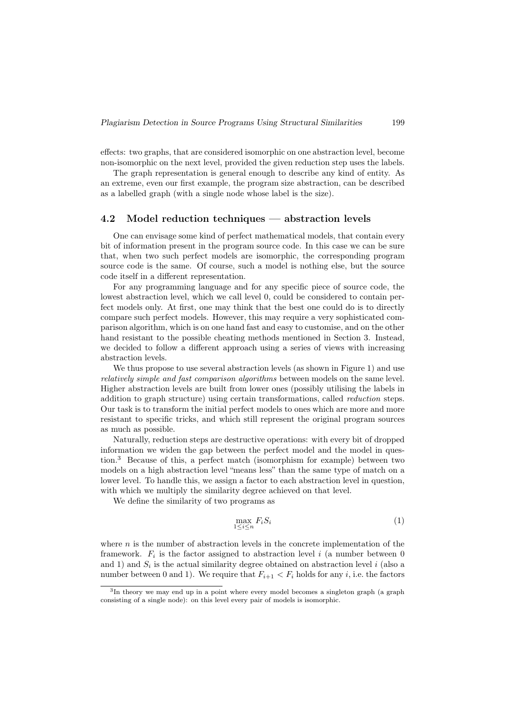effects: two graphs, that are considered isomorphic on one abstraction level, become non-isomorphic on the next level, provided the given reduction step uses the labels.

The graph representation is general enough to describe any kind of entity. As an extreme, even our first example, the program size abstraction, can be described as a labelled graph (with a single node whose label is the size).

### 4.2 Model reduction techniques — abstraction levels

One can envisage some kind of perfect mathematical models, that contain every bit of information present in the program source code. In this case we can be sure that, when two such perfect models are isomorphic, the corresponding program source code is the same. Of course, such a model is nothing else, but the source code itself in a different representation.

For any programming language and for any specific piece of source code, the lowest abstraction level, which we call level 0, could be considered to contain perfect models only. At first, one may think that the best one could do is to directly compare such perfect models. However, this may require a very sophisticated comparison algorithm, which is on one hand fast and easy to customise, and on the other hand resistant to the possible cheating methods mentioned in Section 3. Instead, we decided to follow a different approach using a series of views with increasing abstraction levels.

We thus propose to use several abstraction levels (as shown in Figure 1) and use *relatively simple and fast comparison algorithms* between models on the same level. Higher abstraction levels are built from lower ones (possibly utilising the labels in addition to graph structure) using certain transformations, called *reduction* steps. Our task is to transform the initial perfect models to ones which are more and more resistant to specific tricks, and which still represent the original program sources as much as possible.

Naturally, reduction steps are destructive operations: with every bit of dropped information we widen the gap between the perfect model and the model in question.<sup>3</sup> Because of this, a perfect match (isomorphism for example) between two models on a high abstraction level "means less" than the same type of match on a lower level. To handle this, we assign a factor to each abstraction level in question, with which we multiply the similarity degree achieved on that level.

We define the similarity of two programs as

$$
\max_{1 \le i \le n} F_i S_i \tag{1}
$$

where  $n$  is the number of abstraction levels in the concrete implementation of the framework.  $F_i$  is the factor assigned to abstraction level i (a number between 0 and 1) and  $S_i$  is the actual similarity degree obtained on abstraction level i (also a number between 0 and 1). We require that  $F_{i+1} < F_i$  holds for any i, i.e. the factors

<sup>&</sup>lt;sup>3</sup>In theory we may end up in a point where every model becomes a singleton graph (a graph consisting of a single node): on this level every pair of models is isomorphic.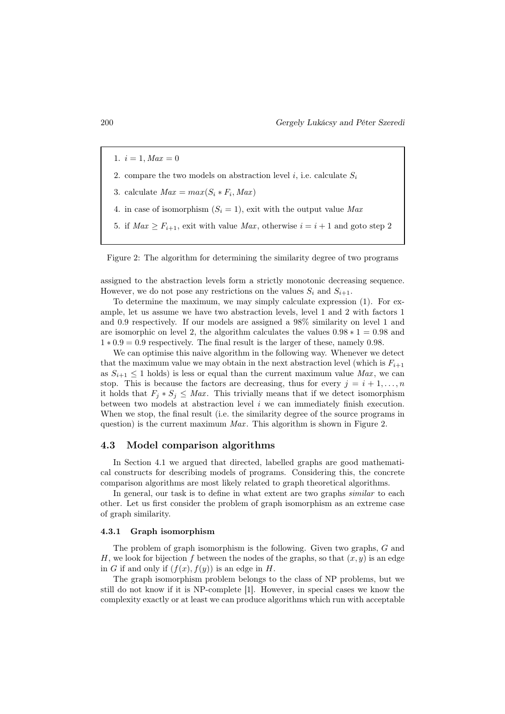- 1.  $i = 1, Max = 0$
- 2. compare the two models on abstraction level i, i.e. calculate  $S_i$
- 3. calculate  $Max = max(S_i * F_i, Max)$
- 4. in case of isomorphism  $(S_i = 1)$ , exit with the output value Max
- 5. if  $Max \geq F_{i+1}$ , exit with value  $Max$ , otherwise  $i = i+1$  and goto step 2

Figure 2: The algorithm for determining the similarity degree of two programs

assigned to the abstraction levels form a strictly monotonic decreasing sequence. However, we do not pose any restrictions on the values  $S_i$  and  $S_{i+1}$ .

To determine the maximum, we may simply calculate expression (1). For example, let us assume we have two abstraction levels, level 1 and 2 with factors 1 and 0.9 respectively. If our models are assigned a 98% similarity on level 1 and are isomorphic on level 2, the algorithm calculates the values  $0.98 * 1 = 0.98$  and  $1 * 0.9 = 0.9$  respectively. The final result is the larger of these, namely 0.98.

We can optimise this naive algorithm in the following way. Whenever we detect that the maximum value we may obtain in the next abstraction level (which is  $F_{i+1}$ ) as  $S_{i+1} \leq 1$  holds) is less or equal than the current maximum value Max, we can stop. This is because the factors are decreasing, thus for every  $j = i + 1, \ldots, n$ it holds that  $F_j * S_j \leq Max$ . This trivially means that if we detect isomorphism between two models at abstraction level i we can immediately finish execution. When we stop, the final result (i.e. the similarity degree of the source programs in question) is the current maximum *Max*. This algorithm is shown in Figure 2.

### 4.3 Model comparison algorithms

In Section 4.1 we argued that directed, labelled graphs are good mathematical constructs for describing models of programs. Considering this, the concrete comparison algorithms are most likely related to graph theoretical algorithms.

In general, our task is to define in what extent are two graphs *similar* to each other. Let us first consider the problem of graph isomorphism as an extreme case of graph similarity.

#### 4.3.1 Graph isomorphism

The problem of graph isomorphism is the following. Given two graphs, G and H, we look for bijection f between the nodes of the graphs, so that  $(x, y)$  is an edge in G if and only if  $(f(x), f(y))$  is an edge in H.

The graph isomorphism problem belongs to the class of NP problems, but we still do not know if it is NP-complete [1]. However, in special cases we know the complexity exactly or at least we can produce algorithms which run with acceptable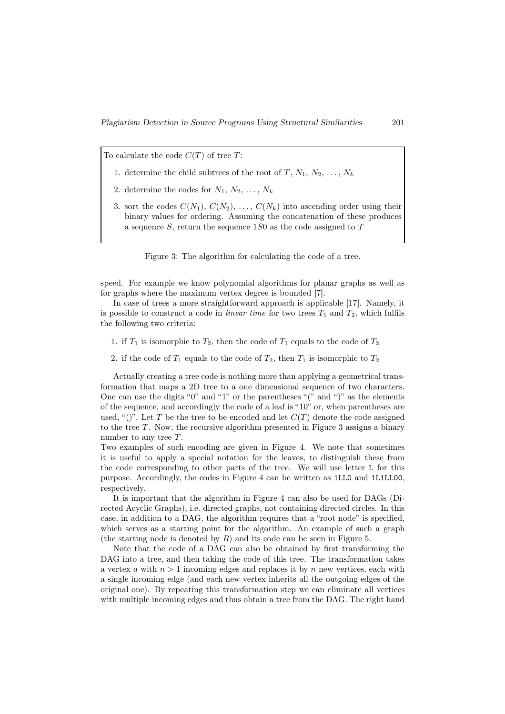To calculate the code  $C(T)$  of tree T:

- 1. determine the child subtrees of the root of T,  $N_1, N_2, \ldots, N_k$
- 2. determine the codes for  $N_1, N_2, \ldots, N_k$
- 3. sort the codes  $C(N_1), C(N_2), \ldots, C(N_k)$  into ascending order using their binary values for ordering. Assuming the concatenation of these produces a sequence  $S$ , return the sequence  $1S0$  as the code assigned to  $T$

Figure 3: The algorithm for calculating the code of a tree.

speed. For example we know polynomial algorithms for planar graphs as well as for graphs where the maximum vertex degree is bounded [7].

In case of trees a more straightforward approach is applicable [17]. Namely, it is possible to construct a code in *linear time* for two trees  $T_1$  and  $T_2$ , which fulfils the following two criteria:

- 1. if  $T_1$  is isomorphic to  $T_2$ , then the code of  $T_1$  equals to the code of  $T_2$
- 2. if the code of  $T_1$  equals to the code of  $T_2$ , then  $T_1$  is isomorphic to  $T_2$

Actually creating a tree code is nothing more than applying a geometrical transformation that maps a 2D tree to a one dimensional sequence of two characters. One can use the digits "0" and "1" or the parentheses "(" and ")" as the elements of the sequence, and accordingly the code of a leaf is " $10$ " or, when parentheses are used, "()". Let T be the tree to be encoded and let  $C(T)$  denote the code assigned to the tree  $T$ . Now, the recursive algorithm presented in Figure 3 assigns a binary number to any tree  $T$ .

Two examples of such encoding are given in Figure 4. We note that sometimes it is useful to apply a special notation for the leaves, to distinguish these from the code corresponding to other parts of the tree. We will use letter L for this purpose. Accordingly, the codes in Figure 4 can be written as 1LL0 and 1L1LL00, respectively.

It is important that the algorithm in Figure 4 can also be used for DAGs (Directed Acyclic Graphs), i.e. directed graphs, not containing directed circles. In this case, in addition to a DAG, the algorithm requires that a "root node" is specified, which serves as a starting point for the algorithm. An example of such a graph (the starting node is denoted by  $R$ ) and its code can be seen in Figure 5.

Note that the code of a DAG can also be obtained by first transforming the DAG into a tree, and then taking the code of this tree. The transformation takes a vertex a with  $n > 1$  incoming edges and replaces it by n new vertices, each with a single incoming edge (and each new vertex inherits all the outgoing edges of the original one). By repeating this transformation step we can eliminate all vertices with multiple incoming edges and thus obtain a tree from the DAG. The right hand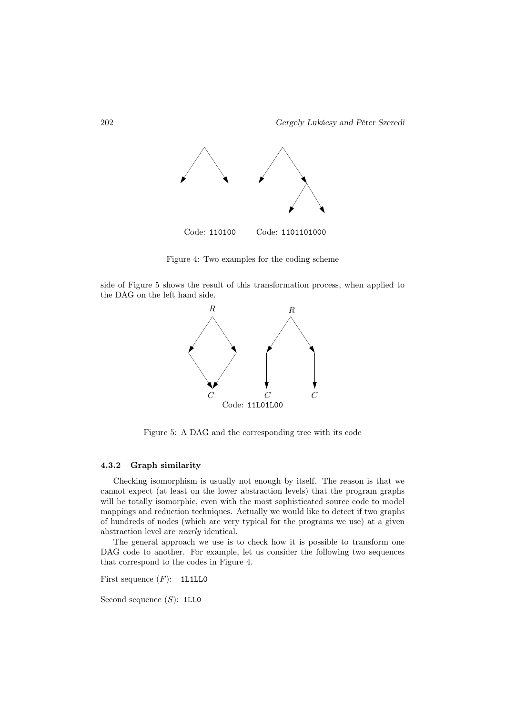

Figure 4: Two examples for the coding scheme

side of Figure 5 shows the result of this transformation process, when applied to the DAG on the left hand side.



Figure 5: A DAG and the corresponding tree with its code

#### 4.3.2 Graph similarity

Checking isomorphism is usually not enough by itself. The reason is that we cannot expect (at least on the lower abstraction levels) that the program graphs will be totally isomorphic, even with the most sophisticated source code to model mappings and reduction techniques. Actually we would like to detect if two graphs of hundreds of nodes (which are very typical for the programs we use) at a given abstraction level are *nearly* identical.

The general approach we use is to check how it is possible to transform one DAG code to another. For example, let us consider the following two sequences that correspond to the codes in Figure 4.

First sequence  $(F)$ : 1L1LL0

Second sequence  $(S)$ : 1LL0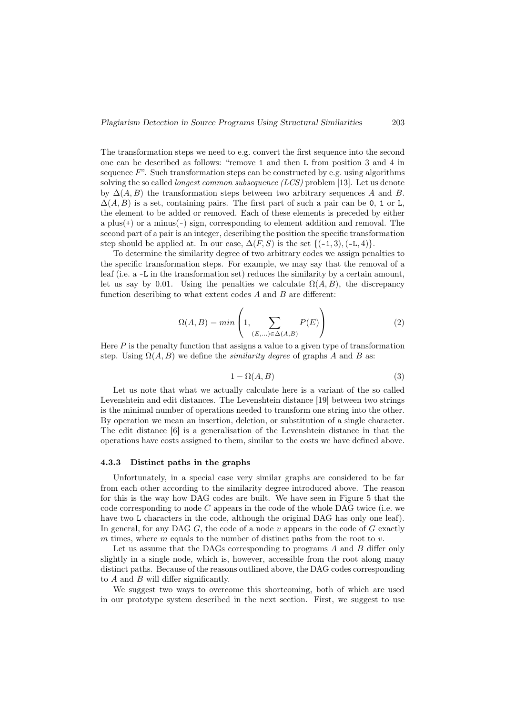The transformation steps we need to e.g. convert the first sequence into the second one can be described as follows: "remove 1 and then L from position 3 and 4 in sequence  $F$ ". Such transformation steps can be constructed by e.g. using algorithms solving the so called *longest common subsequence (LCS)* problem [13]. Let us denote by  $\Delta(A, B)$  the transformation steps between two arbitrary sequences A and B.  $\Delta(A, B)$  is a set, containing pairs. The first part of such a pair can be 0, 1 or L, the element to be added or removed. Each of these elements is preceded by either a plus( $+$ ) or a minus( $-$ ) sign, corresponding to element addition and removal. The second part of a pair is an integer, describing the position the specific transformation step should be applied at. In our case,  $\Delta(F, S)$  is the set  $\{(-1, 3), (-L, 4)\}.$ 

To determine the similarity degree of two arbitrary codes we assign penalties to the specific transformation steps. For example, we may say that the removal of a leaf (i.e. a -L in the transformation set) reduces the similarity by a certain amount, let us say by 0.01. Using the penalties we calculate  $\Omega(A, B)$ , the discrepancy function describing to what extent codes  $A$  and  $B$  are different:

$$
\Omega(A, B) = min\left(1, \sum_{(E, \ldots) \in \Delta(A, B)} P(E)\right)
$$
\n(2)

Here  $P$  is the penalty function that assigns a value to a given type of transformation step. Using  $\Omega(A, B)$  we define the *similarity degree* of graphs A and B as:

$$
1 - \Omega(A, B) \tag{3}
$$

Let us note that what we actually calculate here is a variant of the so called Levenshtein and edit distances. The Levenshtein distance [19] between two strings is the minimal number of operations needed to transform one string into the other. By operation we mean an insertion, deletion, or substitution of a single character. The edit distance [6] is a generalisation of the Levenshtein distance in that the operations have costs assigned to them, similar to the costs we have defined above.

#### 4.3.3 Distinct paths in the graphs

Unfortunately, in a special case very similar graphs are considered to be far from each other according to the similarity degree introduced above. The reason for this is the way how DAG codes are built. We have seen in Figure 5 that the code corresponding to node  $C$  appears in the code of the whole DAG twice (i.e. we have two L characters in the code, although the original DAG has only one leaf). In general, for any DAG  $G$ , the code of a node  $v$  appears in the code of  $G$  exactly  $m$  times, where  $m$  equals to the number of distinct paths from the root to  $v$ .

Let us assume that the DAGs corresponding to programs A and B differ only slightly in a single node, which is, however, accessible from the root along many distinct paths. Because of the reasons outlined above, the DAG codes corresponding to  $A$  and  $B$  will differ significantly.

We suggest two ways to overcome this shortcoming, both of which are used in our prototype system described in the next section. First, we suggest to use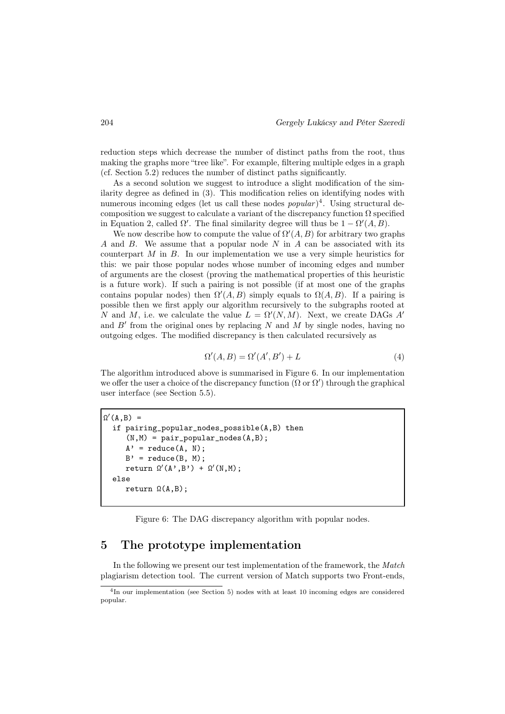reduction steps which decrease the number of distinct paths from the root, thus making the graphs more "tree like". For example, filtering multiple edges in a graph (cf. Section 5.2) reduces the number of distinct paths significantly.

As a second solution we suggest to introduce a slight modification of the similarity degree as defined in (3). This modification relies on identifying nodes with numerous incoming edges (let us call these nodes *popular*)<sup>4</sup>. Using structural decomposition we suggest to calculate a variant of the discrepancy function  $\Omega$  specified in Equation 2, called  $\Omega'$ . The final similarity degree will thus be  $1 - \Omega'(A, B)$ .

We now describe how to compute the value of  $\Omega'(A, B)$  for arbitrary two graphs A and B. We assume that a popular node  $N$  in  $A$  can be associated with its counterpart  $M$  in  $B$ . In our implementation we use a very simple heuristics for this: we pair those popular nodes whose number of incoming edges and number of arguments are the closest (proving the mathematical properties of this heuristic is a future work). If such a pairing is not possible (if at most one of the graphs contains popular nodes) then  $\Omega'(A, B)$  simply equals to  $\Omega(A, B)$ . If a pairing is possible then we first apply our algorithm recursively to the subgraphs rooted at N and M, i.e. we calculate the value  $L = \Omega'(N,M)$ . Next, we create DAGs A' and  $B'$  from the original ones by replacing  $N$  and  $M$  by single nodes, having no outgoing edges. The modified discrepancy is then calculated recursively as

$$
\Omega'(A, B) = \Omega'(A', B') + L \tag{4}
$$

The algorithm introduced above is summarised in Figure 6. In our implementation we offer the user a choice of the discrepancy function  $(\Omega \text{ or } \Omega')$  through the graphical user interface (see Section 5.5).

```
\Omega'(A,B) =
  if pairing_popular_nodes_possible(A,B) then
      (N,M) = pair\_popular\_nodes(A,B);A' = reduce(A, N);B' = reduce(B, M);return \Omega'(\mathbf{A}', \mathbf{B}') + \Omega'(\mathbf{N}, \mathbf{M});
  else
      return \Omega(A,B);
```
Figure 6: The DAG discrepancy algorithm with popular nodes.

# 5 The prototype implementation

In the following we present our test implementation of the framework, the *Match* plagiarism detection tool. The current version of Match supports two Front-ends,

<sup>4</sup> In our implementation (see Section 5) nodes with at least 10 incoming edges are considered popular.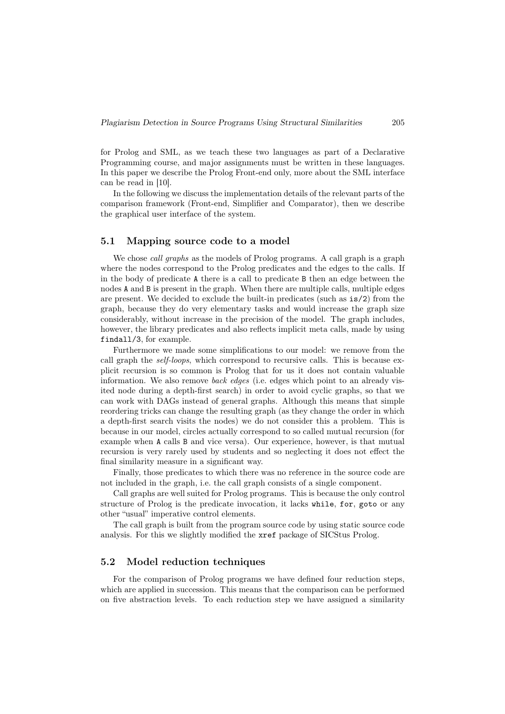for Prolog and SML, as we teach these two languages as part of a Declarative Programming course, and major assignments must be written in these languages. In this paper we describe the Prolog Front-end only, more about the SML interface can be read in [10].

In the following we discuss the implementation details of the relevant parts of the comparison framework (Front-end, Simplifier and Comparator), then we describe the graphical user interface of the system.

### 5.1 Mapping source code to a model

We chose *call graphs* as the models of Prolog programs. A call graph is a graph where the nodes correspond to the Prolog predicates and the edges to the calls. If in the body of predicate A there is a call to predicate B then an edge between the nodes A and B is present in the graph. When there are multiple calls, multiple edges are present. We decided to exclude the built-in predicates (such as is/2) from the graph, because they do very elementary tasks and would increase the graph size considerably, without increase in the precision of the model. The graph includes, however, the library predicates and also reflects implicit meta calls, made by using findall/3, for example.

Furthermore we made some simplifications to our model: we remove from the call graph the *self-loops*, which correspond to recursive calls. This is because explicit recursion is so common is Prolog that for us it does not contain valuable information. We also remove *back edges* (i.e. edges which point to an already visited node during a depth-first search) in order to avoid cyclic graphs, so that we can work with DAGs instead of general graphs. Although this means that simple reordering tricks can change the resulting graph (as they change the order in which a depth-first search visits the nodes) we do not consider this a problem. This is because in our model, circles actually correspond to so called mutual recursion (for example when A calls B and vice versa). Our experience, however, is that mutual recursion is very rarely used by students and so neglecting it does not effect the final similarity measure in a significant way.

Finally, those predicates to which there was no reference in the source code are not included in the graph, i.e. the call graph consists of a single component.

Call graphs are well suited for Prolog programs. This is because the only control structure of Prolog is the predicate invocation, it lacks while, for, goto or any other "usual" imperative control elements.

The call graph is built from the program source code by using static source code analysis. For this we slightly modified the xref package of SICStus Prolog.

### 5.2 Model reduction techniques

For the comparison of Prolog programs we have defined four reduction steps, which are applied in succession. This means that the comparison can be performed on five abstraction levels. To each reduction step we have assigned a similarity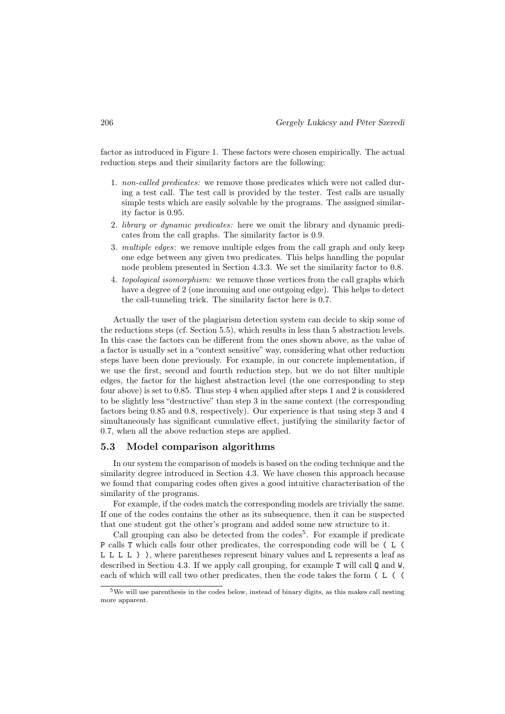factor as introduced in Figure 1. These factors were chosen empirically. The actual reduction steps and their similarity factors are the following:

- 1. *non-called predicates:* we remove those predicates which were not called during a test call. The test call is provided by the tester. Test calls are usually simple tests which are easily solvable by the programs. The assigned similarity factor is 0.95.
- 2. *library or dynamic predicates:* here we omit the library and dynamic predicates from the call graphs. The similarity factor is 0.9.
- 3. *multiple edges*: we remove multiple edges from the call graph and only keep one edge between any given two predicates. This helps handling the popular node problem presented in Section 4.3.3. We set the similarity factor to 0.8.
- 4. *topological isomorphism:* we remove those vertices from the call graphs which have a degree of 2 (one incoming and one outgoing edge). This helps to detect the call-tunneling trick. The similarity factor here is 0.7.

Actually the user of the plagiarism detection system can decide to skip some of the reductions steps (cf. Section 5.5), which results in less than 5 abstraction levels. In this case the factors can be different from the ones shown above, as the value of a factor is usually set in a "context sensitive" way, considering what other reduction steps have been done previously. For example, in our concrete implementation, if we use the first, second and fourth reduction step, but we do not filter multiple edges, the factor for the highest abstraction level (the one corresponding to step four above) is set to 0.85. Thus step 4 when applied after steps 1 and 2 is considered to be slightly less "destructive" than step 3 in the same context (the corresponding factors being 0.85 and 0.8, respectively). Our experience is that using step 3 and 4 simultaneously has significant cumulative effect, justifying the similarity factor of 0.7, when all the above reduction steps are applied.

#### 5.3 Model comparison algorithms

In our system the comparison of models is based on the coding technique and the similarity degree introduced in Section 4.3. We have chosen this approach because we found that comparing codes often gives a good intuitive characterisation of the similarity of the programs.

For example, if the codes match the corresponding models are trivially the same. If one of the codes contains the other as its subsequence, then it can be suspected that one student got the other's program and added some new structure to it.

Call grouping can also be detected from the codes<sup>5</sup>. For example if predicate P calls T which calls four other predicates, the corresponding code will be ( L ( L L L D), where parentheses represent binary values and L represents a leaf as described in Section 4.3. If we apply call grouping, for example T will call Q and W, each of which will call two other predicates, then the code takes the form ( L ( (

<sup>5</sup>We will use parenthesis in the codes below, instead of binary digits, as this makes call nesting more apparent.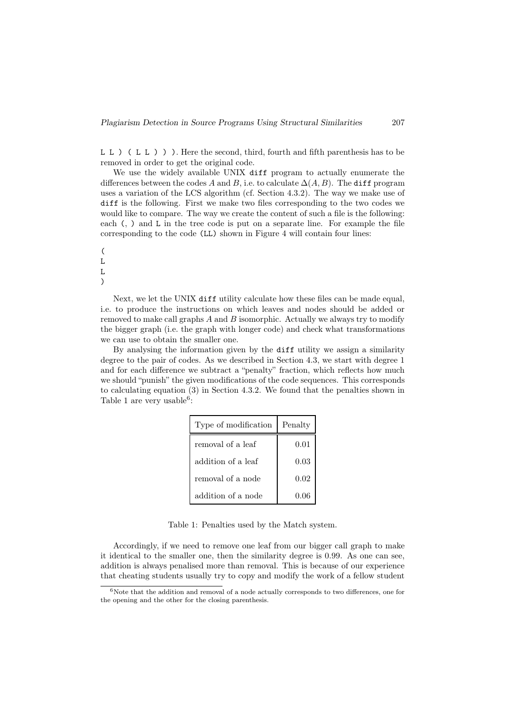L L ) ( L L ) ) ). Here the second, third, fourth and fifth parenthesis has to be removed in order to get the original code.

We use the widely available UNIX diff program to actually enumerate the differences between the codes A and B, i.e. to calculate  $\Delta(A, B)$ . The **diff** program uses a variation of the LCS algorithm (cf. Section 4.3.2). The way we make use of diff is the following. First we make two files corresponding to the two codes we would like to compare. The way we create the content of such a file is the following: each (, ) and L in the tree code is put on a separate line. For example the file corresponding to the code (LL) shown in Figure 4 will contain four lines:

( L L  $\lambda$ 

Next, we let the UNIX diff utility calculate how these files can be made equal, i.e. to produce the instructions on which leaves and nodes should be added or removed to make call graphs  $A$  and  $B$  isomorphic. Actually we always try to modify the bigger graph (i.e. the graph with longer code) and check what transformations we can use to obtain the smaller one.

By analysing the information given by the diff utility we assign a similarity degree to the pair of codes. As we described in Section 4.3, we start with degree 1 and for each difference we subtract a "penalty" fraction, which reflects how much we should "punish" the given modifications of the code sequences. This corresponds to calculating equation (3) in Section 4.3.2. We found that the penalties shown in Table 1 are very usable<sup>6</sup>:

| Type of modification | Penalty |  |  |
|----------------------|---------|--|--|
| removal of a leaf    | 0.01    |  |  |
| addition of a leaf   | 0.03    |  |  |
| removal of a node    | 0.02    |  |  |
| addition of a node   | 0.06    |  |  |

Table 1: Penalties used by the Match system.

Accordingly, if we need to remove one leaf from our bigger call graph to make it identical to the smaller one, then the similarity degree is 0.99. As one can see, addition is always penalised more than removal. This is because of our experience that cheating students usually try to copy and modify the work of a fellow student

<sup>&</sup>lt;sup>6</sup>Note that the addition and removal of a node actually corresponds to two differences, one for the opening and the other for the closing parenthesis.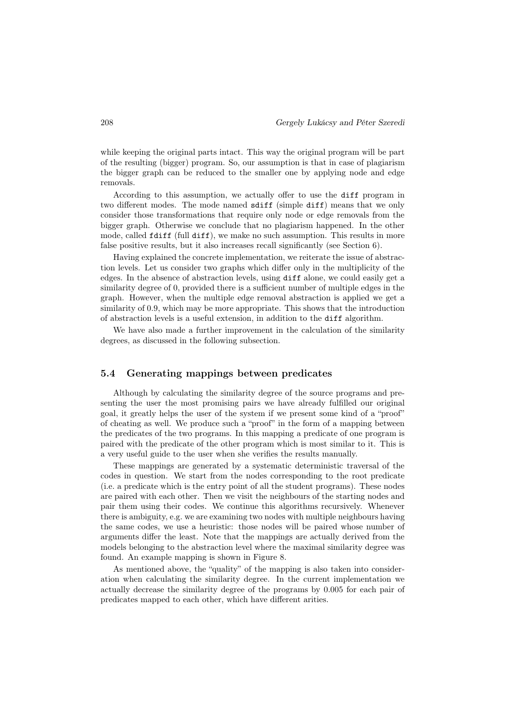while keeping the original parts intact. This way the original program will be part of the resulting (bigger) program. So, our assumption is that in case of plagiarism the bigger graph can be reduced to the smaller one by applying node and edge removals.

According to this assumption, we actually offer to use the diff program in two different modes. The mode named sdiff (simple diff) means that we only consider those transformations that require only node or edge removals from the bigger graph. Otherwise we conclude that no plagiarism happened. In the other mode, called fdiff (full diff), we make no such assumption. This results in more false positive results, but it also increases recall significantly (see Section 6).

Having explained the concrete implementation, we reiterate the issue of abstraction levels. Let us consider two graphs which differ only in the multiplicity of the edges. In the absence of abstraction levels, using diff alone, we could easily get a similarity degree of 0, provided there is a sufficient number of multiple edges in the graph. However, when the multiple edge removal abstraction is applied we get a similarity of 0.9, which may be more appropriate. This shows that the introduction of abstraction levels is a useful extension, in addition to the diff algorithm.

We have also made a further improvement in the calculation of the similarity degrees, as discussed in the following subsection.

### 5.4 Generating mappings between predicates

Although by calculating the similarity degree of the source programs and presenting the user the most promising pairs we have already fulfilled our original goal, it greatly helps the user of the system if we present some kind of a "proof" of cheating as well. We produce such a "proof" in the form of a mapping between the predicates of the two programs. In this mapping a predicate of one program is paired with the predicate of the other program which is most similar to it. This is a very useful guide to the user when she verifies the results manually.

These mappings are generated by a systematic deterministic traversal of the codes in question. We start from the nodes corresponding to the root predicate (i.e. a predicate which is the entry point of all the student programs). These nodes are paired with each other. Then we visit the neighbours of the starting nodes and pair them using their codes. We continue this algorithms recursively. Whenever there is ambiguity, e.g. we are examining two nodes with multiple neighbours having the same codes, we use a heuristic: those nodes will be paired whose number of arguments differ the least. Note that the mappings are actually derived from the models belonging to the abstraction level where the maximal similarity degree was found. An example mapping is shown in Figure 8.

As mentioned above, the "quality" of the mapping is also taken into consideration when calculating the similarity degree. In the current implementation we actually decrease the similarity degree of the programs by 0.005 for each pair of predicates mapped to each other, which have different arities.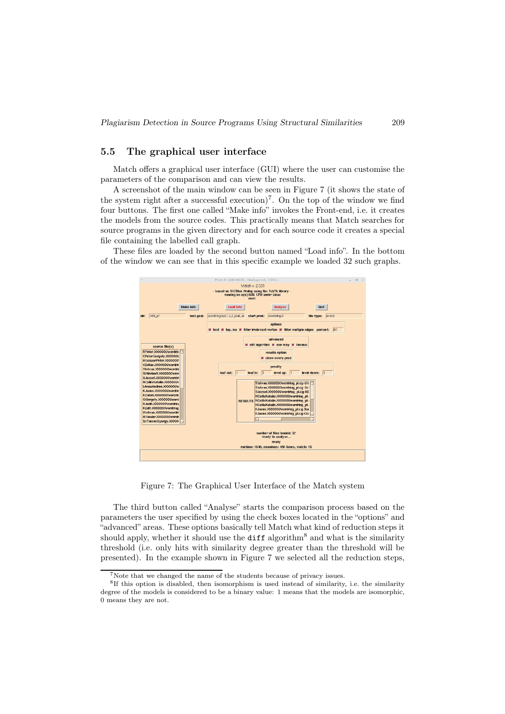### 5.5 The graphical user interface

Match offers a graphical user interface (GUI) where the user can customise the parameters of the comparison and can view the results.

A screenshot of the main window can be seen in Figure 7 (it shows the state of the system right after a successful execution)<sup>7</sup>. On the top of the window we find four buttons. The first one called "Make info" invokes the Front-end, i.e. it creates the models from the source codes. This practically means that Match searches for source programs in the given directory and for each source code it creates a special file containing the labelled call graph.

These files are loaded by the second button named "Load info". In the bottom of the window we can see that in this specific example we loaded 32 such graphs.



Figure 7: The Graphical User Interface of the Match system

The third button called "Analyse" starts the comparison process based on the parameters the user specified by using the check boxes located in the "options" and "advanced" areas. These options basically tell Match what kind of reduction steps it should apply, whether it should use the  $diff$  algorithm<sup>8</sup> and what is the similarity threshold (i.e. only hits with similarity degree greater than the threshold will be presented). In the example shown in Figure 7 we selected all the reduction steps,

<sup>7</sup>Note that we changed the name of the students because of privacy issues.

<sup>&</sup>lt;sup>8</sup>If this option is disabled, then isomorphism is used instead of similarity, i.e. the similarity degree of the models is considered to be a binary value: 1 means that the models are isomorphic, 0 means they are not.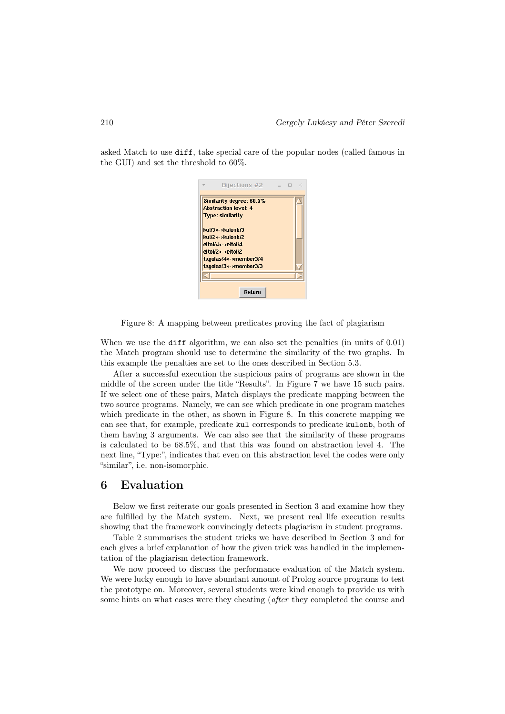asked Match to use diff, take special care of the popular nodes (called famous in the GUI) and set the threshold to 60%.



Figure 8: A mapping between predicates proving the fact of plagiarism

When we use the diff algorithm, we can also set the penalties (in units of 0.01) the Match program should use to determine the similarity of the two graphs. In this example the penalties are set to the ones described in Section 5.3.

After a successful execution the suspicious pairs of programs are shown in the middle of the screen under the title "Results". In Figure 7 we have 15 such pairs. If we select one of these pairs, Match displays the predicate mapping between the two source programs. Namely, we can see which predicate in one program matches which predicate in the other, as shown in Figure 8. In this concrete mapping we can see that, for example, predicate kul corresponds to predicate kulonb, both of them having 3 arguments. We can also see that the similarity of these programs is calculated to be 68.5%, and that this was found on abstraction level 4. The next line, "Type:", indicates that even on this abstraction level the codes were only "similar", i.e. non-isomorphic.

### 6 Evaluation

Below we first reiterate our goals presented in Section 3 and examine how they are fulfilled by the Match system. Next, we present real life execution results showing that the framework convincingly detects plagiarism in student programs.

Table 2 summarises the student tricks we have described in Section 3 and for each gives a brief explanation of how the given trick was handled in the implementation of the plagiarism detection framework.

We now proceed to discuss the performance evaluation of the Match system. We were lucky enough to have abundant amount of Prolog source programs to test the prototype on. Moreover, several students were kind enough to provide us with some hints on what cases were they cheating (*after* they completed the course and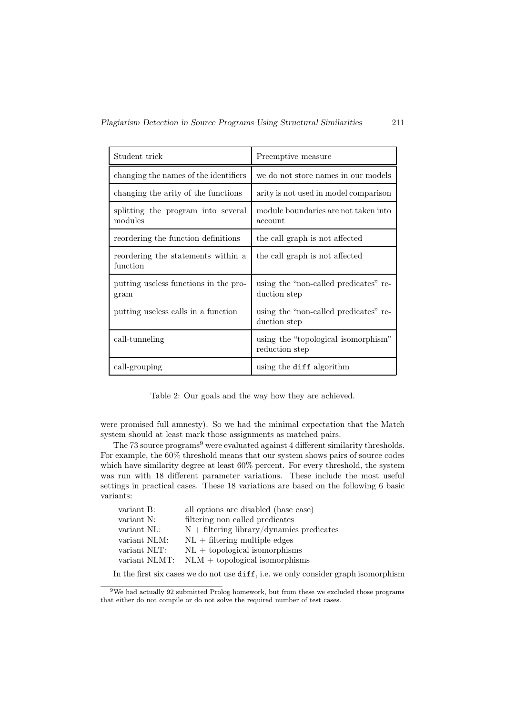| Student trick                                  | Preemptive measure                                    |
|------------------------------------------------|-------------------------------------------------------|
| changing the names of the identifiers          | we do not store names in our models                   |
| changing the arity of the functions            | arity is not used in model comparison                 |
| splitting the program into several<br>modules  | module boundaries are not taken into<br>account       |
| reordering the function definitions            | the call graph is not affected                        |
| reordering the statements within a<br>function | the call graph is not affected                        |
| putting useless functions in the pro-<br>gram  | using the "non-called predicates" re-<br>duction step |
| putting useless calls in a function            | using the "non-called predicates" re-<br>duction step |
| call-tunneling                                 | using the "topological isomorphism"<br>reduction step |
| call-grouping                                  | using the diff algorithm                              |

Table 2: Our goals and the way how they are achieved.

were promised full amnesty). So we had the minimal expectation that the Match system should at least mark those assignments as matched pairs.

The 73 source programs<sup>9</sup> were evaluated against 4 different similarity thresholds. For example, the 60% threshold means that our system shows pairs of source codes which have similarity degree at least 60% percent. For every threshold, the system was run with 18 different parameter variations. These include the most useful settings in practical cases. These 18 variations are based on the following 6 basic variants:

| variant B:    | all options are disabled (base case)               |
|---------------|----------------------------------------------------|
| variant N:    | filtering non called predicates                    |
| variant NL:   | $N + \text{filtering library/dynamics predicates}$ |
| variant NLM:  | $NL +$ filtering multiple edges                    |
| variant NLT:  | $NL + topological$ isomorphisms                    |
| variant NLMT: | $NLM + topological$ isomorphisms                   |
|               |                                                    |

In the first six cases we do not use diff, i.e. we only consider graph isomorphism

 $^{9}\mathrm{We}$  had actually 92 submitted Prolog homework, but from these we excluded those programs that either do not compile or do not solve the required number of test cases.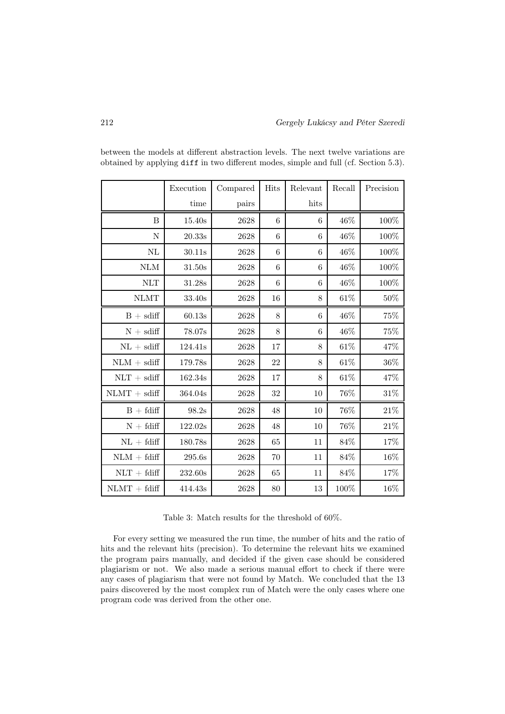|                             | Execution         | Compared | Hits             | Relevant | Recall | Precision |
|-----------------------------|-------------------|----------|------------------|----------|--------|-----------|
|                             | time              | pairs    |                  | hits     |        |           |
| B                           | $15.40\mathrm{s}$ | 2628     | 6                | 6        | 46%    | 100%      |
| N                           | 20.33s            | 2628     | 6                | 6        | 46%    | 100%      |
| $\rm NL$                    | 30.11s            | 2628     | 6                | 6        | 46%    | 100%      |
| $\mathop{\rm NLM}\nolimits$ | $31.50\mathrm{s}$ | 2628     | $\boldsymbol{6}$ | 6        | 46\%   | 100%      |
| NLT                         | 31.28s            | 2628     | 6                | 6        | 46%    | 100\%     |
| <b>NLMT</b>                 | 33.40s            | 2628     | 16               | 8        | 61\%   | 50%       |
| $B +$ sdiff                 | 60.13s            | 2628     | $8\,$            | 6        | 46%    | 75%       |
| $N + sdiff$                 | 78.07s            | 2628     | 8                | 6        | 46\%   | 75%       |
| $NL + sdiff$                | 124.41s           | 2628     | 17               | 8        | $61\%$ | 47%       |
| $NLM + sdiff$               | 179.78s           | 2628     | 22               | 8        | 61%    | $36\%$    |
| $NLT + sdiff$               | 162.34s           | 2628     | 17               | 8        | $61\%$ | 47%       |
| $NLMT + sdiff$              | 364.04s           | 2628     | 32               | 10       | 76%    | 31\%      |
| $B + fdiff$                 | $98.2\mathrm{s}$  | 2628     | 48               | 10       | 76%    | 21%       |
| $N + fdiff$                 | 122.02s           | 2628     | 48               | 10       | 76%    | 21%       |
| $NL + fdiff$                | 180.78s           | 2628     | 65               | 11       | 84%    | 17%       |
| $NLM + fdiff$               | 295.6s            | 2628     | 70               | 11       | 84%    | 16%       |
| $NLT + fdiff$               | 232.60s           | 2628     | 65               | 11       | 84%    | 17%       |
| $NLMT + fdiff$              | 414.43s           | 2628     | 80               | 13       | 100\%  | 16%       |

between the models at different abstraction levels. The next twelve variations are obtained by applying diff in two different modes, simple and full (cf. Section 5.3).

Table 3: Match results for the threshold of 60%.

For every setting we measured the run time, the number of hits and the ratio of hits and the relevant hits (precision). To determine the relevant hits we examined the program pairs manually, and decided if the given case should be considered plagiarism or not. We also made a serious manual effort to check if there were any cases of plagiarism that were not found by Match. We concluded that the 13 pairs discovered by the most complex run of Match were the only cases where one program code was derived from the other one.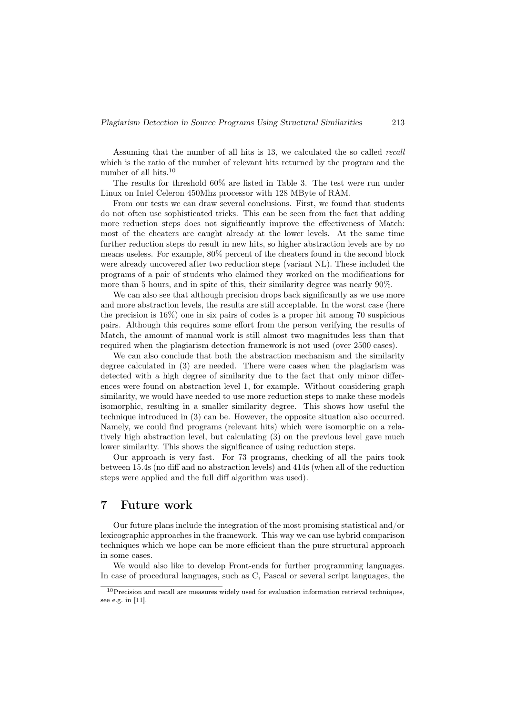Assuming that the number of all hits is 13, we calculated the so called *recall* which is the ratio of the number of relevant hits returned by the program and the number of all hits.<sup>10</sup>

The results for threshold 60% are listed in Table 3. The test were run under Linux on Intel Celeron 450Mhz processor with 128 MByte of RAM.

From our tests we can draw several conclusions. First, we found that students do not often use sophisticated tricks. This can be seen from the fact that adding more reduction steps does not significantly improve the effectiveness of Match: most of the cheaters are caught already at the lower levels. At the same time further reduction steps do result in new hits, so higher abstraction levels are by no means useless. For example, 80% percent of the cheaters found in the second block were already uncovered after two reduction steps (variant NL). These included the programs of a pair of students who claimed they worked on the modifications for more than 5 hours, and in spite of this, their similarity degree was nearly 90%.

We can also see that although precision drops back significantly as we use more and more abstraction levels, the results are still acceptable. In the worst case (here the precision is 16%) one in six pairs of codes is a proper hit among 70 suspicious pairs. Although this requires some effort from the person verifying the results of Match, the amount of manual work is still almost two magnitudes less than that required when the plagiarism detection framework is not used (over 2500 cases).

We can also conclude that both the abstraction mechanism and the similarity degree calculated in (3) are needed. There were cases when the plagiarism was detected with a high degree of similarity due to the fact that only minor differences were found on abstraction level 1, for example. Without considering graph similarity, we would have needed to use more reduction steps to make these models isomorphic, resulting in a smaller similarity degree. This shows how useful the technique introduced in (3) can be. However, the opposite situation also occurred. Namely, we could find programs (relevant hits) which were isomorphic on a relatively high abstraction level, but calculating (3) on the previous level gave much lower similarity. This shows the significance of using reduction steps.

Our approach is very fast. For 73 programs, checking of all the pairs took between 15.4s (no diff and no abstraction levels) and 414s (when all of the reduction steps were applied and the full diff algorithm was used).

# 7 Future work

Our future plans include the integration of the most promising statistical and/or lexicographic approaches in the framework. This way we can use hybrid comparison techniques which we hope can be more efficient than the pure structural approach in some cases.

We would also like to develop Front-ends for further programming languages. In case of procedural languages, such as C, Pascal or several script languages, the

 $10$ Precision and recall are measures widely used for evaluation information retrieval techniques, see e.g. in [11].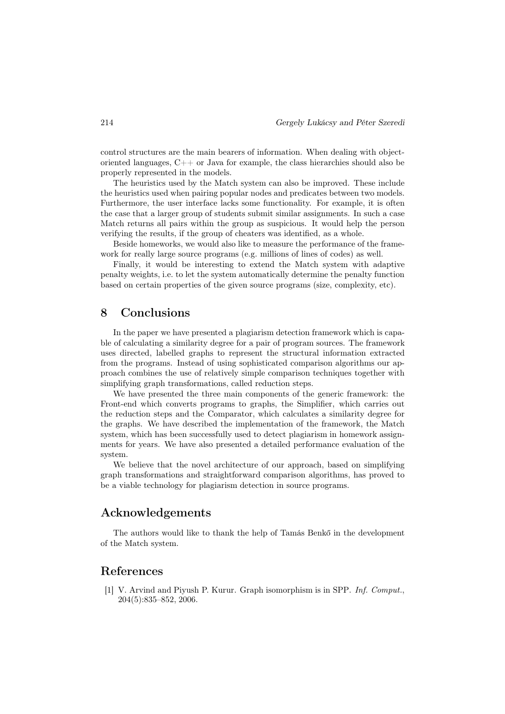control structures are the main bearers of information. When dealing with objectoriented languages, C++ or Java for example, the class hierarchies should also be properly represented in the models.

The heuristics used by the Match system can also be improved. These include the heuristics used when pairing popular nodes and predicates between two models. Furthermore, the user interface lacks some functionality. For example, it is often the case that a larger group of students submit similar assignments. In such a case Match returns all pairs within the group as suspicious. It would help the person verifying the results, if the group of cheaters was identified, as a whole.

Beside homeworks, we would also like to measure the performance of the framework for really large source programs (e.g. millions of lines of codes) as well.

Finally, it would be interesting to extend the Match system with adaptive penalty weights, i.e. to let the system automatically determine the penalty function based on certain properties of the given source programs (size, complexity, etc).

# 8 Conclusions

In the paper we have presented a plagiarism detection framework which is capable of calculating a similarity degree for a pair of program sources. The framework uses directed, labelled graphs to represent the structural information extracted from the programs. Instead of using sophisticated comparison algorithms our approach combines the use of relatively simple comparison techniques together with simplifying graph transformations, called reduction steps.

We have presented the three main components of the generic framework: the Front-end which converts programs to graphs, the Simplifier, which carries out the reduction steps and the Comparator, which calculates a similarity degree for the graphs. We have described the implementation of the framework, the Match system, which has been successfully used to detect plagiarism in homework assignments for years. We have also presented a detailed performance evaluation of the system.

We believe that the novel architecture of our approach, based on simplifying graph transformations and straightforward comparison algorithms, has proved to be a viable technology for plagiarism detection in source programs.

## Acknowledgements

The authors would like to thank the help of Tamás Benkő in the development of the Match system.

## References

[1] V. Arvind and Piyush P. Kurur. Graph isomorphism is in SPP. *Inf. Comput.*, 204(5):835–852, 2006.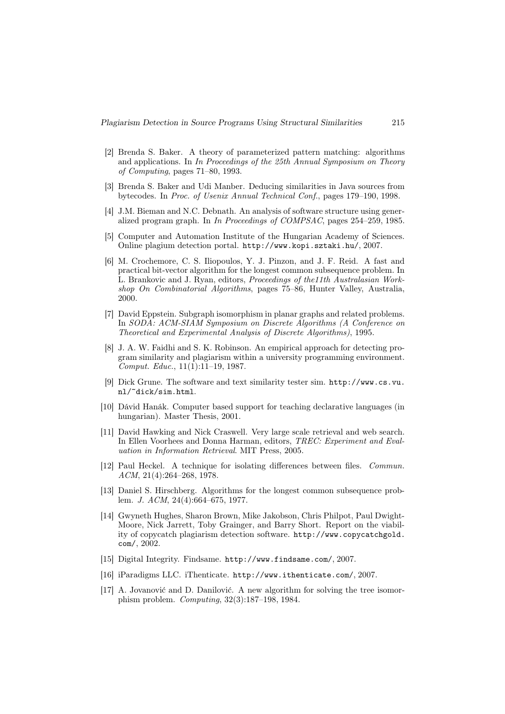- [2] Brenda S. Baker. A theory of parameterized pattern matching: algorithms and applications. In *In Proceedings of the 25th Annual Symposium on Theory of Computing*, pages 71–80, 1993.
- [3] Brenda S. Baker and Udi Manber. Deducing similarities in Java sources from bytecodes. In *Proc. of Usenix Annual Technical Conf.*, pages 179–190, 1998.
- [4] J.M. Bieman and N.C. Debnath. An analysis of software structure using generalized program graph. In *In Proceedings of COMPSAC*, pages 254–259, 1985.
- [5] Computer and Automation Institute of the Hungarian Academy of Sciences. Online plagium detection portal. http://www.kopi.sztaki.hu/, 2007.
- [6] M. Crochemore, C. S. Iliopoulos, Y. J. Pinzon, and J. F. Reid. A fast and practical bit-vector algorithm for the longest common subsequence problem. In L. Brankovic and J. Ryan, editors, *Proceedings of the11th Australasian Workshop On Combinatorial Algorithms*, pages 75–86, Hunter Valley, Australia, 2000.
- [7] David Eppstein. Subgraph isomorphism in planar graphs and related problems. In *SODA: ACM-SIAM Symposium on Discrete Algorithms (A Conference on Theoretical and Experimental Analysis of Discrete Algorithms)*, 1995.
- [8] J. A. W. Faidhi and S. K. Robinson. An empirical approach for detecting program similarity and plagiarism within a university programming environment. *Comput. Educ.*, 11(1):11–19, 1987.
- [9] Dick Grune. The software and text similarity tester sim. http://www.cs.vu. nl/~dick/sim.html.
- [10] Dávid Hanák. Computer based support for teaching declarative languages (in hungarian). Master Thesis, 2001.
- [11] David Hawking and Nick Craswell. Very large scale retrieval and web search. In Ellen Voorhees and Donna Harman, editors, *TREC: Experiment and Evaluation in Information Retrieval*. MIT Press, 2005.
- [12] Paul Heckel. A technique for isolating differences between files. *Commun. ACM*, 21(4):264–268, 1978.
- [13] Daniel S. Hirschberg. Algorithms for the longest common subsequence problem. *J. ACM*, 24(4):664–675, 1977.
- [14] Gwyneth Hughes, Sharon Brown, Mike Jakobson, Chris Philpot, Paul Dwight-Moore, Nick Jarrett, Toby Grainger, and Barry Short. Report on the viability of copycatch plagiarism detection software. http://www.copycatchgold. com/, 2002.
- [15] Digital Integrity. Findsame. http://www.findsame.com/, 2007.
- [16] iParadigms LLC. iThenticate. http://www.ithenticate.com/, 2007.
- [17] A. Jovanović and D. Danilović. A new algorithm for solving the tree isomorphism problem. *Computing*, 32(3):187–198, 1984.